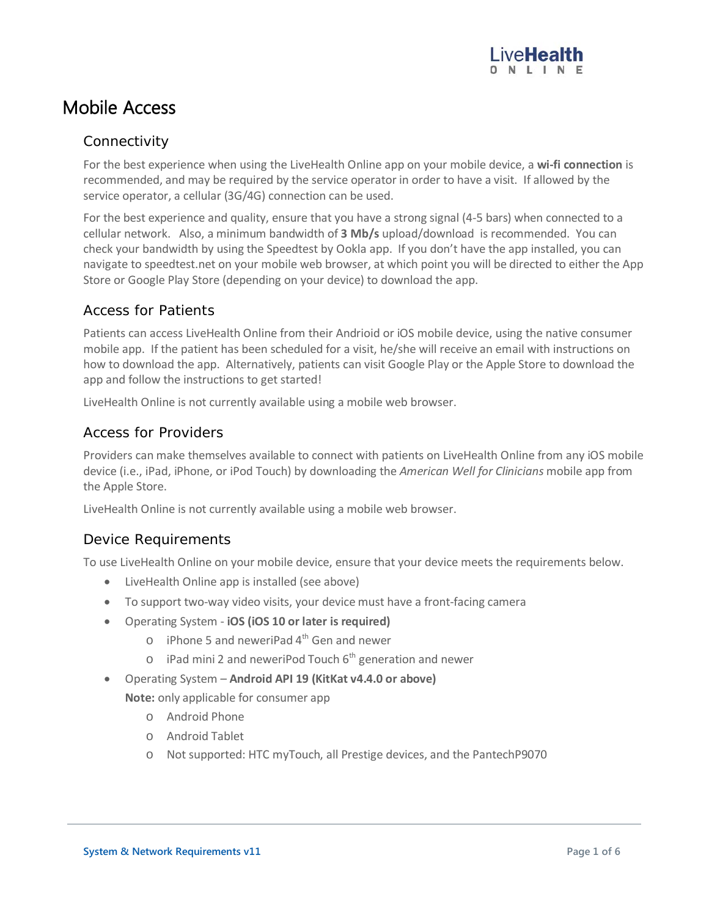## Mobile Access

#### **Connectivity**

For the best experience when using the LiveHealth Online app on your mobile device, a **wi-fi connection** is recommended, and may be required by the service operator in order to have a visit. If allowed by the service operator, a cellular (3G/4G) connection can be used.

For the best experience and quality, ensure that you have a strong signal (4-5 bars) when connected to a cellular network. Also, a minimum bandwidth of **3 Mb/s** upload/download is recommended. You can check your bandwidth by using the Speedtest by Ookla app. If you don't have the app installed, you can navigate to speedtest.net on your mobile web browser, at which point you will be directed to either the App Store or Google Play Store (depending on your device) to download the app.

#### Access for Patients

Patients can access LiveHealth Online from their Andrioid or iOS mobile device, using the native consumer mobile app. If the patient has been scheduled for a visit, he/she will receive an email with instructions on how to download the app. Alternatively, patients can visit Google Play or the Apple Store to download the app and follow the instructions to get started!

LiveHealth Online is not currently available using a mobile web browser.

#### Access for Providers

Providers can make themselves available to connect with patients on LiveHealth Online from any iOS mobile device (i.e., iPad, iPhone, or iPod Touch) by downloading the *American Well for Clinicians* mobile app from the Apple Store.

LiveHealth Online is not currently available using a mobile web browser.

#### Device Requirements

To use LiveHealth Online on your mobile device, ensure that your device meets the requirements below.

- LiveHealth Online app is installed (see above)
- To support two-way video visits, your device must have a front-facing camera
- Operating System **iOS (iOS 10 or later is required)**
	- $\circ$  iPhone 5 and neweriPad 4<sup>th</sup> Gen and newer
	- $\circ$  iPad mini 2 and neweriPod Touch 6<sup>th</sup> generation and newer
- Operating System **Android API 19 (KitKat v4.4.0 or above)**

**Note:** only applicable for consumer app

- o Android Phone
- o Android Tablet
- o Not supported: HTC myTouch, all Prestige devices, and the PantechP9070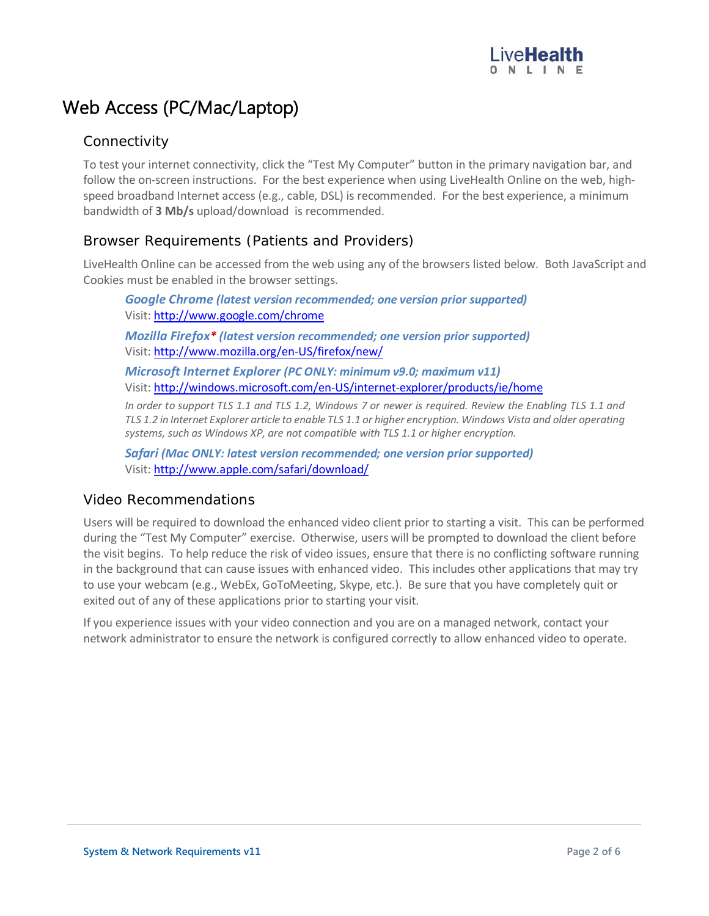## Web Access (PC/Mac/Laptop)

#### **Connectivity**

To test your internet connectivity, click the "Test My Computer" button in the primary navigation bar, and follow the on-screen instructions. For the best experience when using LiveHealth Online on the web, highspeed broadband Internet access (e.g., cable, DSL) is recommended. For the best experience, a minimum bandwidth of **3 Mb/s** upload/download is recommended.

#### Browser Requirements (Patients and Providers)

LiveHealth Online can be accessed from the web using any of the browsers listed below. Both JavaScript and Cookies must be enabled in the browser settings.

*Google Chrome (latest version recommended; one version prior supported)* Visit: <http://www.google.com/chrome> *Mozilla Firefox\* (latest version recommended; one version prior supported)* Visit: <http://www.mozilla.org/en-US/firefox/new/> *Microsoft Internet Explorer (PC ONLY: minimum v9.0; maximum v11)* Visit: <http://windows.microsoft.com/en-US/internet-explorer/products/ie/home>

*In order to support TLS 1.1 and TLS 1.2, Windows 7 or newer is required. Review the Enabling TLS 1.1 and TLS 1.2 in Internet Explorer article to enable TLS 1.1 or higher encryption. Windows Vista and older operating systems, such as Windows XP, are not compatible with TLS 1.1 or higher encryption.*

*Safari (Mac ONLY: latest version recommended; one version prior supported)* Visit: <http://www.apple.com/safari/download/>

#### Video Recommendations

Users will be required to download the enhanced video client prior to starting a visit. This can be performed during the "Test My Computer" exercise. Otherwise, users will be prompted to download the client before the visit begins. To help reduce the risk of video issues, ensure that there is no conflicting software running in the background that can cause issues with enhanced video. This includes other applications that may try to use your webcam (e.g., WebEx, GoToMeeting, Skype, etc.). Be sure that you have completely quit or exited out of any of these applications prior to starting your visit.

If you experience issues with your video connection and you are on a managed network, contact your network administrator to ensure the network is configured correctly to allow enhanced video to operate.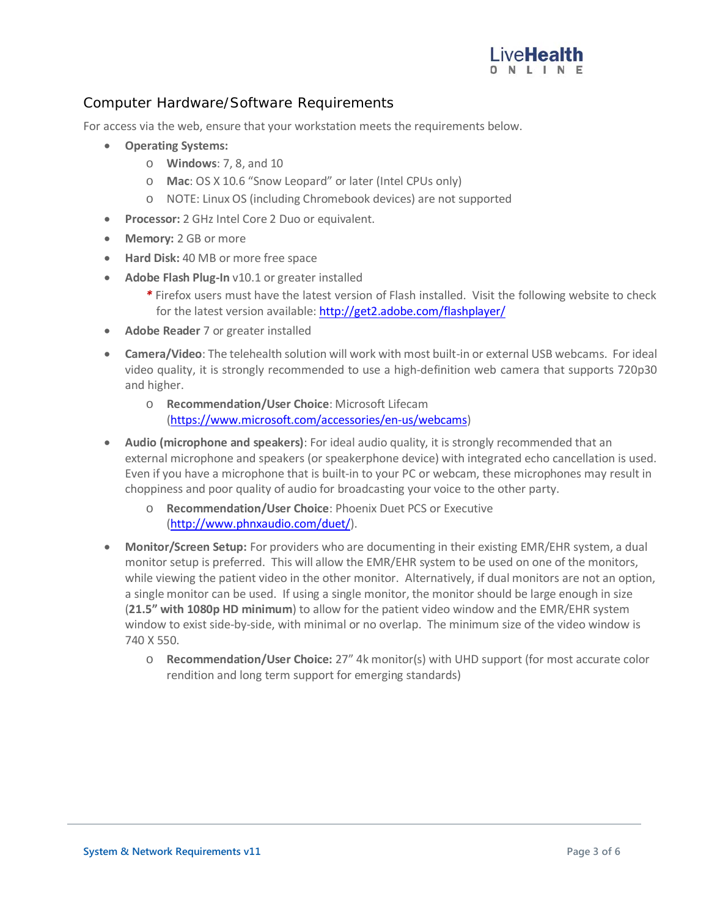

#### Computer Hardware/Software Requirements

For access via the web, ensure that your workstation meets the requirements below.

- **Operating Systems:**
	- o **Windows**: 7, 8, and 10
	- o **Mac**: OS X 10.6 "Snow Leopard" or later (Intel CPUs only)
	- o NOTE: Linux OS (including Chromebook devices) are not supported
- **Processor:** 2 GHz Intel Core 2 Duo or equivalent.
- **Memory:** 2 GB or more
- **Hard Disk:** 40 MB or more free space
- **Adobe Flash Plug-In** v10.1 or greater installed
	- *\** Firefox users must have the latest version of Flash installed. Visit the following website to check for the latest version available[: http://get2.adobe.com/flashplayer/](http://get2.adobe.com/flashplayer/)
- **Adobe Reader** 7 or greater installed
- **Camera/Video**: The telehealth solution will work with most built-in or external USB webcams. For ideal video quality, it is strongly recommended to use a high-definition web camera that supports 720p30 and higher.
	- o **Recommendation/User Choice**: Microsoft Lifecam [\(https://www.microsoft.com/accessories/en-us/webcams\)](https://www.microsoft.com/accessories/en-us/webcams)
- **Audio (microphone and speakers)**: For ideal audio quality, it is strongly recommended that an external microphone and speakers (or speakerphone device) with integrated echo cancellation is used. Even if you have a microphone that is built-in to your PC or webcam, these microphones may result in choppiness and poor quality of audio for broadcasting your voice to the other party.
	- o **Recommendation/User Choice**: Phoenix Duet PCS or Executive [\(http://www.phnxaudio.com/duet/\)](http://www.phnxaudio.com/duet/).
- **Monitor/Screen Setup:** For providers who are documenting in their existing EMR/EHR system, a dual monitor setup is preferred. This will allow the EMR/EHR system to be used on one of the monitors, while viewing the patient video in the other monitor. Alternatively, if dual monitors are not an option, a single monitor can be used. If using a single monitor, the monitor should be large enough in size (**21.5" with 1080p HD minimum**) to allow for the patient video window and the EMR/EHR system window to exist side-by-side, with minimal or no overlap. The minimum size of the video window is 740 X 550.
	- o **Recommendation/User Choice:** 27" 4k monitor(s) with UHD support (for most accurate color rendition and long term support for emerging standards)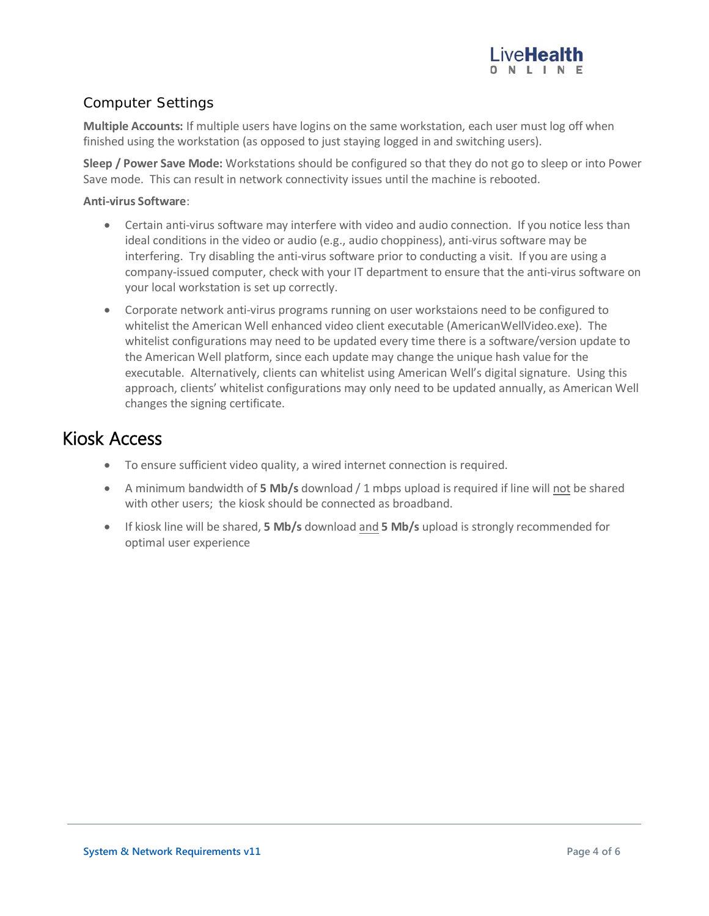

#### Computer Settings

**Multiple Accounts:** If multiple users have logins on the same workstation, each user must log off when finished using the workstation (as opposed to just staying logged in and switching users).

**Sleep / Power Save Mode:** Workstations should be configured so that they do not go to sleep or into Power Save mode. This can result in network connectivity issues until the machine is rebooted.

#### **Anti-virus Software**:

- Certain anti-virus software may interfere with video and audio connection. If you notice less than ideal conditions in the video or audio (e.g., audio choppiness), anti-virus software may be interfering. Try disabling the anti-virus software prior to conducting a visit. If you are using a company-issued computer, check with your IT department to ensure that the anti-virus software on your local workstation is set up correctly.
- Corporate network anti-virus programs running on user workstaions need to be configured to whitelist the American Well enhanced video client executable (AmericanWellVideo.exe). The whitelist configurations may need to be updated every time there is a software/version update to the American Well platform, since each update may change the unique hash value for the executable. Alternatively, clients can whitelist using American Well's digital signature. Using this approach, clients' whitelist configurations may only need to be updated annually, as American Well changes the signing certificate.

### Kiosk Access

- To ensure sufficient video quality, a wired internet connection is required.
- A minimum bandwidth of 5 Mb/s download / 1 mbps upload is required if line will not be shared with other users; the kiosk should be connected as broadband.
- If kiosk line will be shared, **5 Mb/s** download and **5 Mb/s** upload is strongly recommended for optimal user experience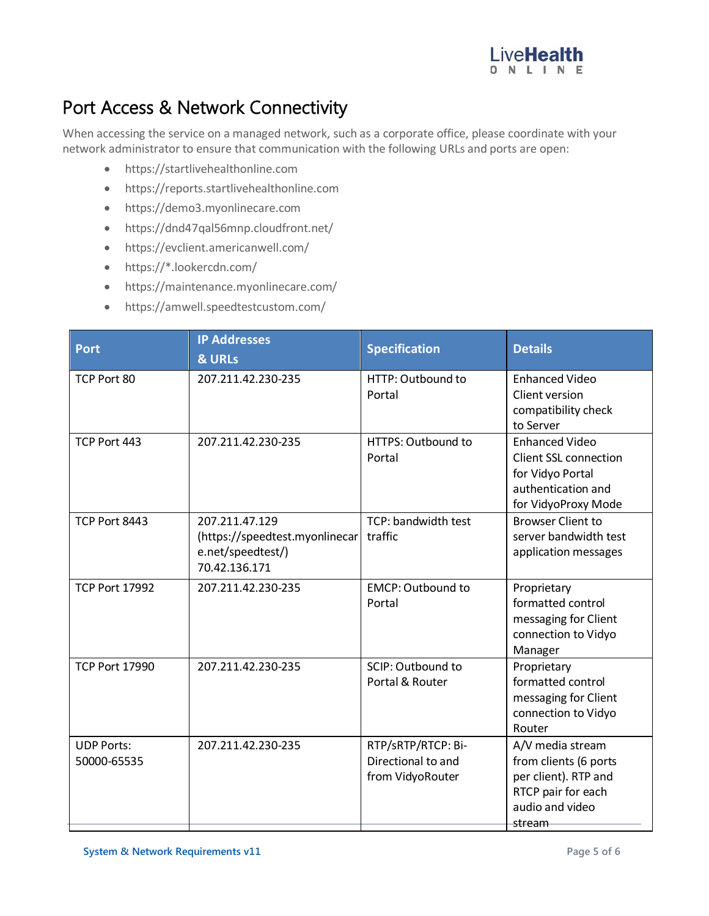

# Port Access & Network Connectivity

When accessing the service on a managed network, such as a corporate office, please coordinate with your network administrator to ensure that communication with the following URLs and ports are open:

- https://startlivehealthonline.com
- https://reports.startlivehealthonline.com
- https://demo3.myonlinecare.com
- https://dnd47qal56mnp.cloudfront.net/
- https://evclient.americanwell.com/
- https://\*.lookercdn.com/
- https://maintenance.myonlinecare.com/
- https://amwell.speedtestcustom.com/

| <b>Port</b>                      | <b>IP Addresses</b><br><b>&amp; URLs</b>                                               | <b>Specification</b>                                         | <b>Details</b>                                                                                                         |
|----------------------------------|----------------------------------------------------------------------------------------|--------------------------------------------------------------|------------------------------------------------------------------------------------------------------------------------|
| TCP Port 80                      | 207.211.42.230-235                                                                     | HTTP: Outbound to<br>Portal                                  | <b>Enhanced Video</b><br>Client version<br>compatibility check<br>to Server                                            |
| TCP Port 443                     | 207.211.42.230-235                                                                     | HTTPS: Outbound to<br>Portal                                 | <b>Enhanced Video</b><br><b>Client SSL connection</b><br>for Vidyo Portal<br>authentication and<br>for VidyoProxy Mode |
| TCP Port 8443                    | 207.211.47.129<br>(https://speedtest.myonlinecar<br>e.net/speedtest/)<br>70.42.136.171 | TCP: bandwidth test<br>traffic                               | <b>Browser Client to</b><br>server bandwidth test<br>application messages                                              |
| <b>TCP Port 17992</b>            | 207.211.42.230-235                                                                     | <b>EMCP: Outbound to</b><br>Portal                           | Proprietary<br>formatted control<br>messaging for Client<br>connection to Vidyo<br>Manager                             |
| <b>TCP Port 17990</b>            | 207.211.42.230-235                                                                     | SCIP: Outbound to<br>Portal & Router                         | Proprietary<br>formatted control<br>messaging for Client<br>connection to Vidyo<br>Router                              |
| <b>UDP Ports:</b><br>50000-65535 | 207.211.42.230-235                                                                     | RTP/sRTP/RTCP: Bi-<br>Directional to and<br>from VidyoRouter | A/V media stream<br>from clients (6 ports<br>per client). RTP and<br>RTCP pair for each<br>audio and video<br>stream   |